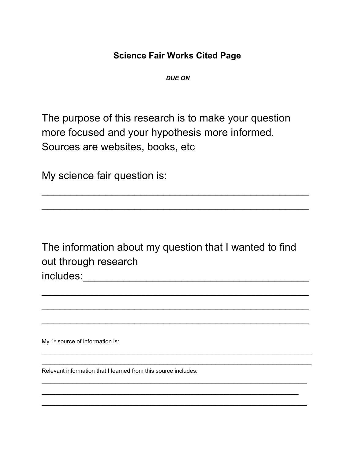## **Science Fair Works Cited Page**

*DUE ON*

The purpose of this research is to make your question more focused and your hypothesis more informed. Sources are websites, books, etc

My science fair question is:

The information about my question that I wanted to find out through research includes:\_\_\_\_\_\_\_\_\_\_\_\_\_\_\_\_\_\_\_\_\_\_\_\_\_\_\_\_\_\_\_\_\_\_\_\_\_\_\_

 $\mathcal{L}_\text{max}$  and  $\mathcal{L}_\text{max}$  and  $\mathcal{L}_\text{max}$  and  $\mathcal{L}_\text{max}$  and  $\mathcal{L}_\text{max}$ 

 $\mathcal{L}_\text{max}$  and  $\mathcal{L}_\text{max}$  and  $\mathcal{L}_\text{max}$  and  $\mathcal{L}_\text{max}$  and  $\mathcal{L}_\text{max}$ 

 $\mathcal{L}_\text{max}$  and  $\mathcal{L}_\text{max}$  and  $\mathcal{L}_\text{max}$  and  $\mathcal{L}_\text{max}$  and  $\mathcal{L}_\text{max}$ 

\_\_\_\_\_\_\_\_\_\_\_\_\_\_\_\_\_\_\_\_\_\_\_\_\_\_\_\_\_\_\_\_\_\_\_\_\_\_\_\_\_\_\_\_\_\_\_\_\_\_\_\_\_\_\_\_\_\_\_\_\_\_ \_\_\_\_\_\_\_\_\_\_\_\_\_\_\_\_\_\_\_\_\_\_\_\_\_\_\_\_\_\_\_\_\_\_\_\_\_\_\_\_\_\_\_\_\_\_\_\_\_\_\_\_\_\_\_\_\_\_\_\_\_\_

 $\overline{\phantom{a}}$  , and the contribution of the contribution of the contribution of the contribution of the contribution of the contribution of the contribution of the contribution of the contribution of the contribution of the

 $\overline{\phantom{a}}$  , and the contribution of the contribution of the contribution of the contribution of the contribution of the contribution of the contribution of the contribution of the contribution of the contribution of the \_\_\_\_\_\_\_\_\_\_\_\_\_\_\_\_\_\_\_\_\_\_\_\_\_\_\_\_\_\_\_\_\_\_\_\_\_\_\_\_\_\_\_\_\_\_\_\_\_\_\_\_\_\_\_\_\_\_\_\_\_

 $\mathcal{L}_\text{max}$  and  $\mathcal{L}_\text{max}$  and  $\mathcal{L}_\text{max}$  and  $\mathcal{L}_\text{max}$  and  $\mathcal{L}_\text{max}$ 

 $\mathcal{L}_\text{max}$  and  $\mathcal{L}_\text{max}$  and  $\mathcal{L}_\text{max}$  and  $\mathcal{L}_\text{max}$  and  $\mathcal{L}_\text{max}$ 

My  $1$ <sup>\*</sup> source of information is:

Relevant information that I learned from this source includes: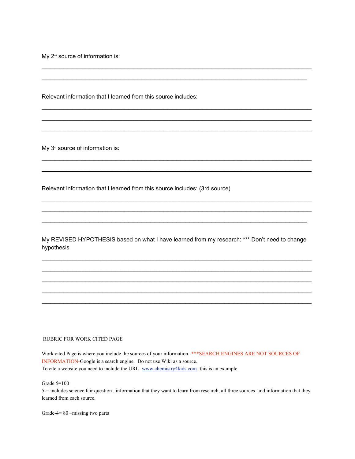My  $2^{\omega}$  source of information is:

Relevant information that I learned from this source includes:

My  $3<sup>d</sup>$  source of information is:

Relevant information that I learned from this source includes: (3rd source)

My REVISED HYPOTHESIS based on what I have learned from my research: \*\*\* Don't need to change hypothesis

*\_\_\_\_\_\_\_\_\_\_\_\_\_\_\_\_\_\_\_\_\_\_\_\_\_\_\_\_\_\_\_\_\_\_\_\_\_\_\_\_\_\_\_\_\_\_\_\_\_\_\_\_\_\_\_\_\_\_\_\_\_\_ \_\_\_\_\_\_\_\_\_\_\_\_\_\_\_\_\_\_\_\_\_\_\_\_\_\_\_\_\_\_\_\_\_\_\_\_\_\_\_\_\_\_\_\_\_\_\_\_\_\_\_\_\_\_\_\_\_\_\_\_\_\_ \_\_\_\_\_\_\_\_\_\_\_\_\_\_\_\_\_\_\_\_\_\_\_\_\_\_\_\_\_\_\_\_\_\_\_\_\_\_\_\_\_\_\_\_\_\_\_\_\_\_\_\_\_\_\_\_\_\_\_\_\_\_ \_\_\_\_\_\_\_\_\_\_\_\_\_\_\_\_\_\_\_\_\_\_\_\_\_\_\_\_\_\_\_\_\_\_\_\_\_\_\_\_\_\_\_\_\_\_\_\_\_\_\_\_\_\_\_\_\_\_\_\_\_\_ \_\_\_\_\_\_\_\_\_\_\_\_\_\_\_\_\_\_\_\_\_\_\_\_\_\_\_\_\_\_\_\_\_\_\_\_\_\_\_\_\_\_\_\_\_\_\_\_\_\_\_\_\_\_\_\_\_\_\_\_\_\_*

\_\_\_\_\_\_\_\_\_\_\_\_\_\_\_\_\_\_\_\_\_\_\_\_\_\_\_\_\_\_\_\_\_\_\_\_\_\_\_\_\_\_\_\_\_\_\_\_\_\_\_\_\_\_\_\_\_\_\_\_\_\_  $\overline{\phantom{a}}$  , and the contribution of the contribution of the contribution of the contribution of the contribution of the contribution of the contribution of the contribution of the contribution of the contribution of the

\_\_\_\_\_\_\_\_\_\_\_\_\_\_\_\_\_\_\_\_\_\_\_\_\_\_\_\_\_\_\_\_\_\_\_\_\_\_\_\_\_\_\_\_\_\_\_\_\_\_\_\_\_\_\_\_\_\_\_\_\_\_ \_\_\_\_\_\_\_\_\_\_\_\_\_\_\_\_\_\_\_\_\_\_\_\_\_\_\_\_\_\_\_\_\_\_\_\_\_\_\_\_\_\_\_\_\_\_\_\_\_\_\_\_\_\_\_\_\_\_\_\_\_\_ \_\_\_\_\_\_\_\_\_\_\_\_\_\_\_\_\_\_\_\_\_\_\_\_\_\_\_\_\_\_\_\_\_\_\_\_\_\_\_\_\_\_\_\_\_\_\_\_\_\_\_\_\_\_\_\_\_\_\_\_\_\_

\_\_\_\_\_\_\_\_\_\_\_\_\_\_\_\_\_\_\_\_\_\_\_\_\_\_\_\_\_\_\_\_\_\_\_\_\_\_\_\_\_\_\_\_\_\_\_\_\_\_\_\_\_\_\_\_\_\_\_\_\_\_ \_\_\_\_\_\_\_\_\_\_\_\_\_\_\_\_\_\_\_\_\_\_\_\_\_\_\_\_\_\_\_\_\_\_\_\_\_\_\_\_\_\_\_\_\_\_\_\_\_\_\_\_\_\_\_\_\_\_\_\_\_\_

\_\_\_\_\_\_\_\_\_\_\_\_\_\_\_\_\_\_\_\_\_\_\_\_\_\_\_\_\_\_\_\_\_\_\_\_\_\_\_\_\_\_\_\_\_\_\_\_\_\_\_\_\_\_\_\_\_\_\_\_\_\_ \_\_\_\_\_\_\_\_\_\_\_\_\_\_\_\_\_\_\_\_\_\_\_\_\_\_\_\_\_\_\_\_\_\_\_\_\_\_\_\_\_\_\_\_\_\_\_\_\_\_\_\_\_\_\_\_\_\_\_\_\_\_  $\overline{\phantom{a}}$  , and the contribution of the contribution of the contribution of the contribution of the contribution of the contribution of the contribution of the contribution of the contribution of the contribution of the

## RUBRIC FOR WORK CITED PAGE

Work cited Page is where you include the sources of your information- \*\*\*SEARCH ENGINES ARE NOT SOURCES OF INFORMATION-Google is a search engine. Do not use Wiki as a source. To cite a website you need to include the URL- [www.chemistry4kids.com-](http://www.chemistry4kids.com/) this is an example.

Grade 5=100

5-= includes science fair question , information that they want to learn from research, all three sources and information that they learned from each source.

Grade-4= 80 –missing two parts